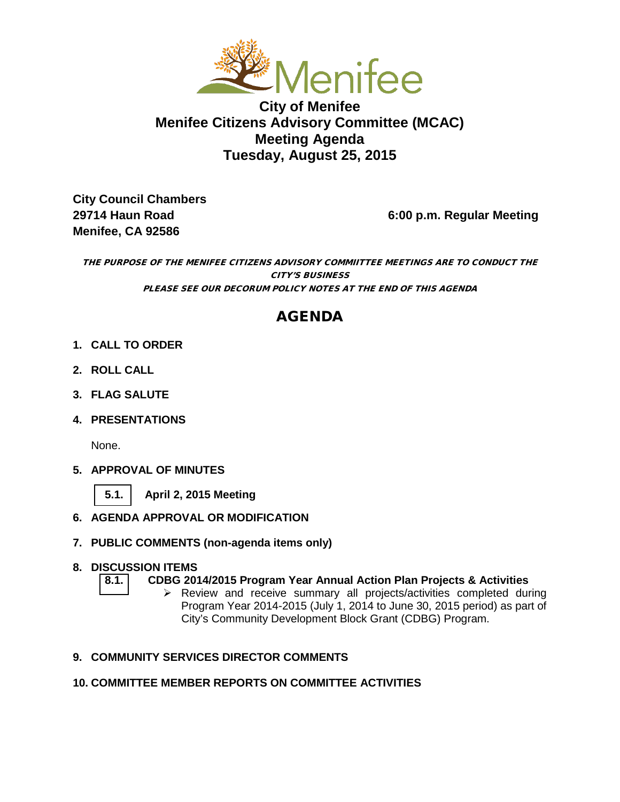

### **City of Menifee Menifee Citizens Advisory Committee (MCAC) Meeting Agenda Tuesday, August 25, 2015**

**City Council Chambers Menifee, CA 92586** 

**29714 Haun Road 6:00 p.m. Regular Meeting**

THE PURPOSE OF THE MENIFEE CITIZENS ADVISORY COMMIITTEE MEETINGS ARE TO CONDUCT THE CITY'S BUSINESS PLEASE SEE OUR DECORUM POLICY NOTES AT THE END OF THIS AGENDA

## AGENDA

- **1. CALL TO ORDER**
- **2. ROLL CALL**
- **3. FLAG SALUTE**
- **4. PRESENTATIONS**

None.

- **5. APPROVAL OF MINUTES**
	- **[5.1.](#page-2-0) April 2, 2015 Meeting**
- **6. AGENDA APPROVAL OR MODIFICATION**
- **7. PUBLIC COMMENTS (non-agenda items only)**

# **8. DISCUSSION ITEMS**

- **[8.1.](#page-4-0) CDBG 2014/2015 Program Year Annual Action Plan Projects & Activities**
	- Review and receive summary all projects/activities completed during Program Year 2014-2015 (July 1, 2014 to June 30, 2015 period) as part of City's Community Development Block Grant (CDBG) Program.

#### **9. COMMUNITY SERVICES DIRECTOR COMMENTS**

#### **10. COMMITTEE MEMBER REPORTS ON COMMITTEE ACTIVITIES**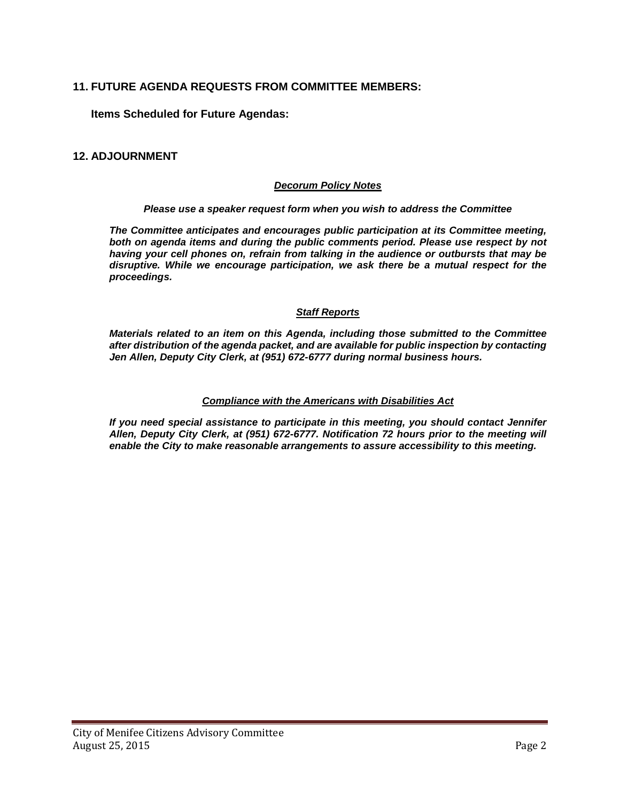#### **11. FUTURE AGENDA REQUESTS FROM COMMITTEE MEMBERS:**

**Items Scheduled for Future Agendas:**

#### **12. ADJOURNMENT**

#### *Decorum Policy Notes*

#### *Please use a speaker request form when you wish to address the Committee*

*The Committee anticipates and encourages public participation at its Committee meeting,*  both on agenda items and during the public comments period. Please use respect by not *having your cell phones on, refrain from talking in the audience or outbursts that may be disruptive. While we encourage participation, we ask there be a mutual respect for the proceedings.*

#### *Staff Reports*

*Materials related to an item on this Agenda, including those submitted to the Committee after distribution of the agenda packet, and are available for public inspection by contacting Jen Allen, Deputy City Clerk, at (951) 672-6777 during normal business hours.* 

#### *Compliance with the Americans with Disabilities Act*

*If you need special assistance to participate in this meeting, you should contact Jennifer Allen, Deputy City Clerk, at (951) 672-6777. Notification 72 hours prior to the meeting will enable the City to make reasonable arrangements to assure accessibility to this meeting.*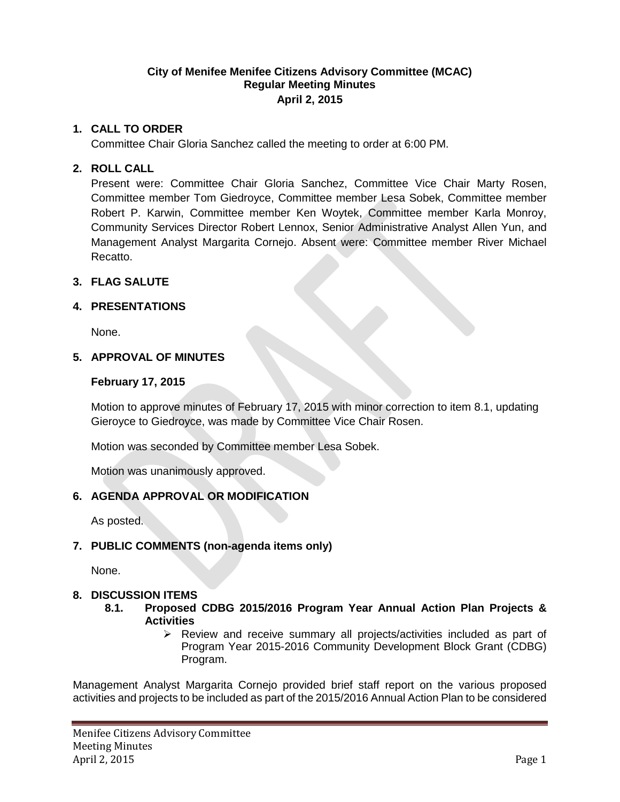#### **City of Menifee Menifee Citizens Advisory Committee (MCAC) Regular Meeting Minutes April 2, 2015**

#### <span id="page-2-0"></span>**1. CALL TO ORDER**

Committee Chair Gloria Sanchez called the meeting to order at 6:00 PM.

#### **2. ROLL CALL**

Present were: Committee Chair Gloria Sanchez, Committee Vice Chair Marty Rosen, Committee member Tom Giedroyce, Committee member Lesa Sobek, Committee member Robert P. Karwin, Committee member Ken Woytek, Committee member Karla Monroy, Community Services Director Robert Lennox, Senior Administrative Analyst Allen Yun, and Management Analyst Margarita Cornejo. Absent were: Committee member River Michael Recatto.

#### **3. FLAG SALUTE**

#### **4. PRESENTATIONS**

None.

#### **5. APPROVAL OF MINUTES**

#### **February 17, 2015**

Motion to approve minutes of February 17, 2015 with minor correction to item 8.1, updating Gieroyce to Giedroyce, was made by Committee Vice Chair Rosen.

Motion was seconded by Committee member Lesa Sobek.

Motion was unanimously approved.

#### **6. AGENDA APPROVAL OR MODIFICATION**

As posted.

#### **7. PUBLIC COMMENTS (non-agenda items only)**

None.

#### **8. DISCUSSION ITEMS**

- **8.1. Proposed CDBG 2015/2016 Program Year Annual Action Plan Projects & Activities**
	- Review and receive summary all projects/activities included as part of Program Year 2015-2016 Community Development Block Grant (CDBG) Program.

Management Analyst Margarita Cornejo provided brief staff report on the various proposed activities and projects to be included as part of the 2015/2016 Annual Action Plan to be considered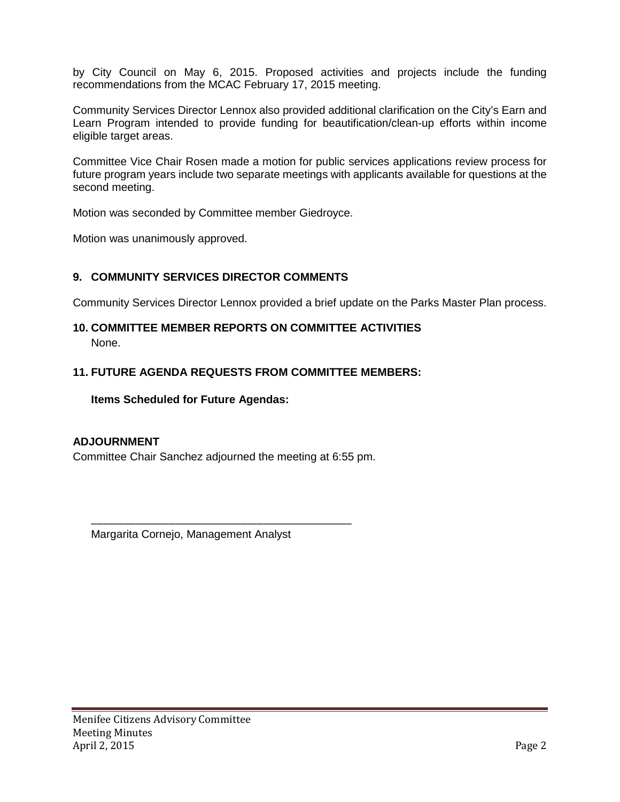by City Council on May 6, 2015. Proposed activities and projects include the funding recommendations from the MCAC February 17, 2015 meeting.

Community Services Director Lennox also provided additional clarification on the City's Earn and Learn Program intended to provide funding for beautification/clean-up efforts within income eligible target areas.

Committee Vice Chair Rosen made a motion for public services applications review process for future program years include two separate meetings with applicants available for questions at the second meeting.

Motion was seconded by Committee member Giedroyce.

Motion was unanimously approved.

#### **9. COMMUNITY SERVICES DIRECTOR COMMENTS**

Community Services Director Lennox provided a brief update on the Parks Master Plan process.

#### **10. COMMITTEE MEMBER REPORTS ON COMMITTEE ACTIVITIES**

None.

#### **11. FUTURE AGENDA REQUESTS FROM COMMITTEE MEMBERS:**

**Items Scheduled for Future Agendas:**

#### **ADJOURNMENT**

Committee Chair Sanchez adjourned the meeting at 6:55 pm.

\_\_\_\_\_\_\_\_\_\_\_\_\_\_\_\_\_\_\_\_\_\_\_\_\_\_\_\_\_\_\_\_\_\_\_\_\_\_\_\_\_\_\_\_\_\_\_

Margarita Cornejo, Management Analyst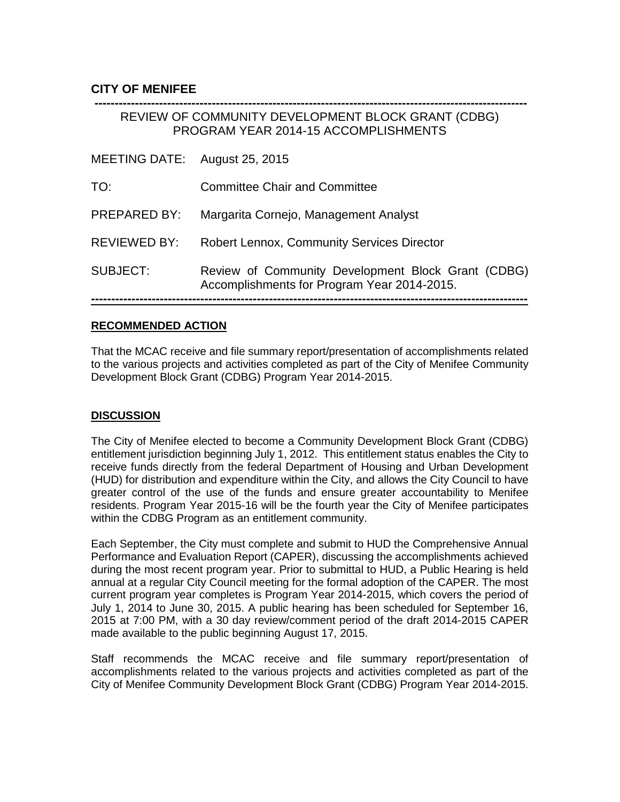#### <span id="page-4-0"></span>**CITY OF MENIFEE**

## **-----------------------------------------------------------------------------------------------------------** REVIEW OF COMMUNITY DEVELOPMENT BLOCK GRANT (CDBG) PROGRAM YEAR 2014-15 ACCOMPLISHMENTS MEETING DATE: August 25, 2015 TO: Committee Chair and Committee PREPARED BY: Margarita Cornejo, Management Analyst REVIEWED BY: Robert Lennox, Community Services Director SUBJECT: Review of Community Development Block Grant (CDBG) Accomplishments for Program Year 2014-2015. **------------------------------------------------------------------------------------------------------------**

#### **RECOMMENDED ACTION**

That the MCAC receive and file summary report/presentation of accomplishments related to the various projects and activities completed as part of the City of Menifee Community Development Block Grant (CDBG) Program Year 2014-2015.

#### **DISCUSSION**

The City of Menifee elected to become a Community Development Block Grant (CDBG) entitlement jurisdiction beginning July 1, 2012. This entitlement status enables the City to receive funds directly from the federal Department of Housing and Urban Development (HUD) for distribution and expenditure within the City, and allows the City Council to have greater control of the use of the funds and ensure greater accountability to Menifee residents. Program Year 2015-16 will be the fourth year the City of Menifee participates within the CDBG Program as an entitlement community.

Each September, the City must complete and submit to HUD the Comprehensive Annual Performance and Evaluation Report (CAPER), discussing the accomplishments achieved during the most recent program year. Prior to submittal to HUD, a Public Hearing is held annual at a regular City Council meeting for the formal adoption of the CAPER. The most current program year completes is Program Year 2014-2015, which covers the period of July 1, 2014 to June 30, 2015. A public hearing has been scheduled for September 16, 2015 at 7:00 PM, with a 30 day review/comment period of the draft 2014-2015 CAPER made available to the public beginning August 17, 2015.

Staff recommends the MCAC receive and file summary report/presentation of accomplishments related to the various projects and activities completed as part of the City of Menifee Community Development Block Grant (CDBG) Program Year 2014-2015.